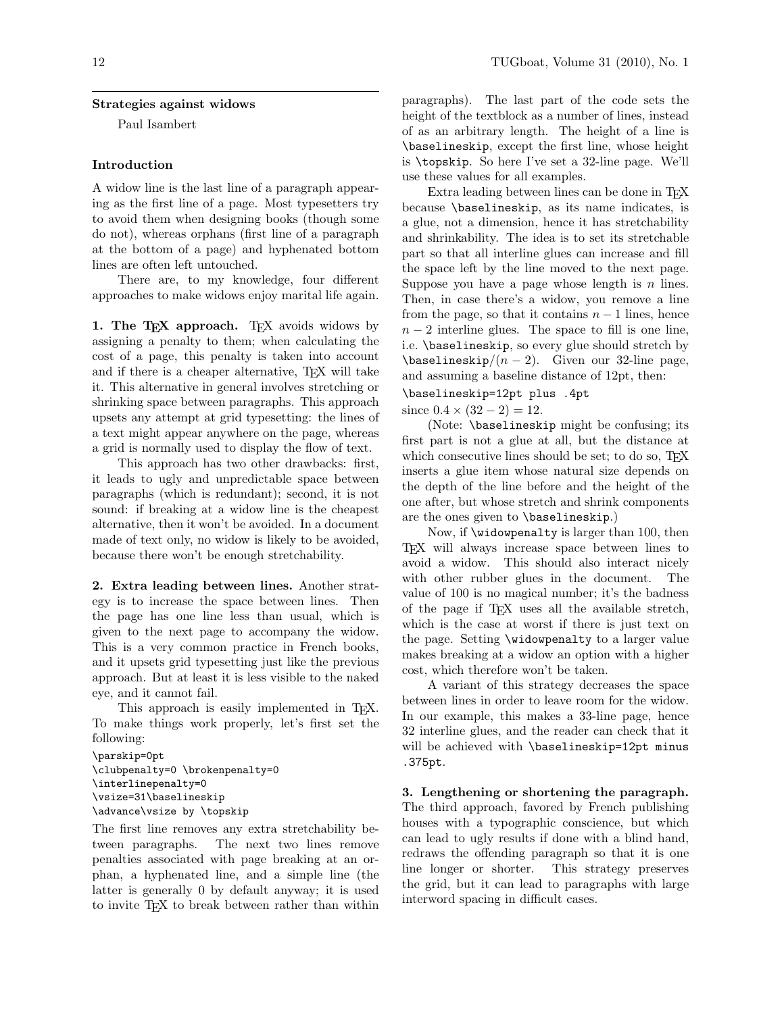#### Strategies against widows

Paul Isambert

### Introduction

A widow line is the last line of a paragraph appearing as the first line of a page. Most typesetters try to avoid them when designing books (though some do not), whereas orphans (first line of a paragraph at the bottom of a page) and hyphenated bottom lines are often left untouched.

There are, to my knowledge, four different approaches to make widows enjoy marital life again.

1. The TEX approach. TEX avoids widows by assigning a penalty to them; when calculating the cost of a page, this penalty is taken into account and if there is a cheaper alternative, TEX will take it. This alternative in general involves stretching or shrinking space between paragraphs. This approach upsets any attempt at grid typesetting: the lines of a text might appear anywhere on the page, whereas a grid is normally used to display the flow of text.

This approach has two other drawbacks: first, it leads to ugly and unpredictable space between paragraphs (which is redundant); second, it is not sound: if breaking at a widow line is the cheapest alternative, then it won't be avoided. In a document made of text only, no widow is likely to be avoided, because there won't be enough stretchability.

2. Extra leading between lines. Another strategy is to increase the space between lines. Then the page has one line less than usual, which is given to the next page to accompany the widow. This is a very common practice in French books, and it upsets grid typesetting just like the previous approach. But at least it is less visible to the naked eye, and it cannot fail.

This approach is easily implemented in T<sub>E</sub>X. To make things work properly, let's first set the following:

\parskip=0pt \clubpenalty=0 \brokenpenalty=0 \interlinepenalty=0 \vsize=31\baselineskip \advance\vsize by \topskip

The first line removes any extra stretchability between paragraphs. The next two lines remove penalties associated with page breaking at an orphan, a hyphenated line, and a simple line (the latter is generally 0 by default anyway; it is used to invite TEX to break between rather than within paragraphs). The last part of the code sets the height of the textblock as a number of lines, instead of as an arbitrary length. The height of a line is \baselineskip, except the first line, whose height is \topskip. So here I've set a 32-line page. We'll use these values for all examples.

Extra leading between lines can be done in T<sub>EX</sub> because \baselineskip, as its name indicates, is a glue, not a dimension, hence it has stretchability and shrinkability. The idea is to set its stretchable part so that all interline glues can increase and fill the space left by the line moved to the next page. Suppose you have a page whose length is  $n$  lines. Then, in case there's a widow, you remove a line from the page, so that it contains  $n-1$  lines, hence  $n-2$  interline glues. The space to fill is one line, i.e. \baselineskip, so every glue should stretch by  $\b{baselineskip}{(n-2)}$ . Given our 32-line page, and assuming a baseline distance of 12pt, then:

#### \baselineskip=12pt plus .4pt

since  $0.4 \times (32 - 2) = 12$ .

(Note: \baselineskip might be confusing; its first part is not a glue at all, but the distance at which consecutive lines should be set; to do so, T<sub>E</sub>X inserts a glue item whose natural size depends on the depth of the line before and the height of the one after, but whose stretch and shrink components are the ones given to \baselineskip.)

Now, if \widowpenalty is larger than 100, then TEX will always increase space between lines to avoid a widow. This should also interact nicely with other rubber glues in the document. The value of 100 is no magical number; it's the badness of the page if TEX uses all the available stretch, which is the case at worst if there is just text on the page. Setting \widowpenalty to a larger value makes breaking at a widow an option with a higher cost, which therefore won't be taken.

A variant of this strategy decreases the space between lines in order to leave room for the widow. In our example, this makes a 33-line page, hence 32 interline glues, and the reader can check that it will be achieved with \baselineskip=12pt minus .375pt.

3. Lengthening or shortening the paragraph. The third approach, favored by French publishing houses with a typographic conscience, but which can lead to ugly results if done with a blind hand, redraws the offending paragraph so that it is one line longer or shorter. This strategy preserves the grid, but it can lead to paragraphs with large interword spacing in difficult cases.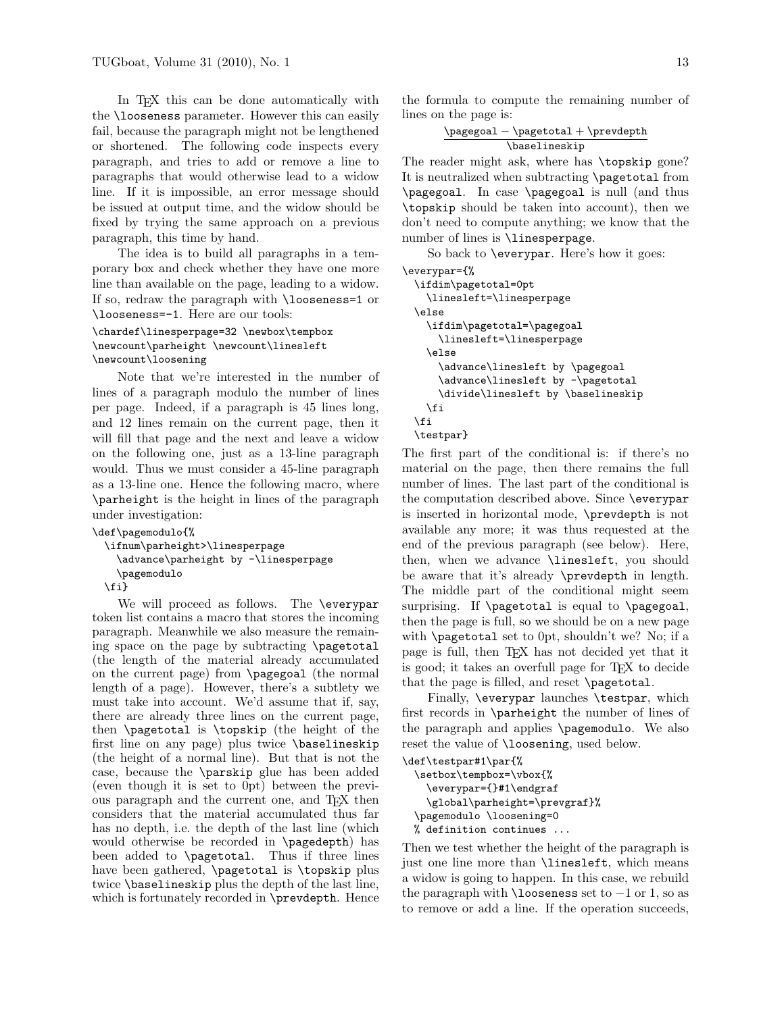In T<sub>EX</sub> this can be done automatically with the \looseness parameter. However this can easily fail, because the paragraph might not be lengthened or shortened. The following code inspects every paragraph, and tries to add or remove a line to paragraphs that would otherwise lead to a widow line. If it is impossible, an error message should be issued at output time, and the widow should be fixed by trying the same approach on a previous paragraph, this time by hand.

The idea is to build all paragraphs in a temporary box and check whether they have one more line than available on the page, leading to a widow. If so, redraw the paragraph with **\looseness=1** or \looseness=-1. Here are our tools:

# \chardef\linesperpage=32 \newbox\tempbox \newcount\parheight \newcount\linesleft \newcount\loosening

Note that we're interested in the number of lines of a paragraph modulo the number of lines per page. Indeed, if a paragraph is 45 lines long, and 12 lines remain on the current page, then it will fill that page and the next and leave a widow on the following one, just as a 13-line paragraph would. Thus we must consider a 45-line paragraph as a 13-line one. Hence the following macro, where \parheight is the height in lines of the paragraph under investigation:

```
\def\pagemodulo{%
```

```
\ifnum\parheight>\linesperpage
  \advance\parheight by -\linesperpage
  \pagemodulo
```
\fi}

We will proceed as follows. The \everypar token list contains a macro that stores the incoming paragraph. Meanwhile we also measure the remaining space on the page by subtracting \pagetotal (the length of the material already accumulated on the current page) from \pagegoal (the normal length of a page). However, there's a subtlety we must take into account. We'd assume that if, say, there are already three lines on the current page, then \pagetotal is \topskip (the height of the first line on any page) plus twice \baselineskip (the height of a normal line). But that is not the case, because the \parskip glue has been added (even though it is set to 0pt) between the previous paragraph and the current one, and TEX then considers that the material accumulated thus far has no depth, i.e. the depth of the last line (which would otherwise be recorded in \pagedepth) has been added to \pagetotal. Thus if three lines have been gathered, \pagetotal is \topskip plus twice \baselineskip plus the depth of the last line, which is fortunately recorded in \prevdepth. Hence

the formula to compute the remaining number of lines on the page is:

> \pagegoal − \pagetotal + \prevdepth \baselineskip

The reader might ask, where has \topskip gone? It is neutralized when subtracting \pagetotal from \pagegoal. In case \pagegoal is null (and thus \topskip should be taken into account), then we don't need to compute anything; we know that the number of lines is *\linesperpage*.

So back to \everypar. Here's how it goes:

```
\everypar={%
 \ifdim\pagetotal=0pt
   \linesleft=\linesperpage
  \else
   \ifdim\pagetotal=\pagegoal
      \linesleft=\linesperpage
    \else
      \advance\linesleft by \pagegoal
      \advance\linesleft by -\pagetotal
      \divide\linesleft by \baselineskip
   \fi
 \fi
  \testpar}
```
The first part of the conditional is: if there's no material on the page, then there remains the full number of lines. The last part of the conditional is the computation described above. Since \everypar is inserted in horizontal mode, \prevdepth is not available any more; it was thus requested at the end of the previous paragraph (see below). Here, then, when we advance \linesleft, you should be aware that it's already \prevdepth in length. The middle part of the conditional might seem surprising. If \pagetotal is equal to \pagegoal, then the page is full, so we should be on a new page with \pagetotal set to 0pt, shouldn't we? No; if a page is full, then TEX has not decided yet that it is good; it takes an overfull page for TEX to decide that the page is filled, and reset \pagetotal.

Finally, \everypar launches \testpar, which first records in \parheight the number of lines of the paragraph and applies \pagemodulo. We also reset the value of **\loosening**, used below.

```
\def\testpar#1\par{%
  \setbox\tempbox=\vbox{%
    \everypar={}#1\endgraf
    \global\parheight=\prevgraf}%
  \pagemodulo \loosening=0
 % definition continues ...
```
Then we test whether the height of the paragraph is just one line more than \linesleft, which means a widow is going to happen. In this case, we rebuild the paragraph with  $\lambda$ looseness set to  $-1$  or 1, so as to remove or add a line. If the operation succeeds,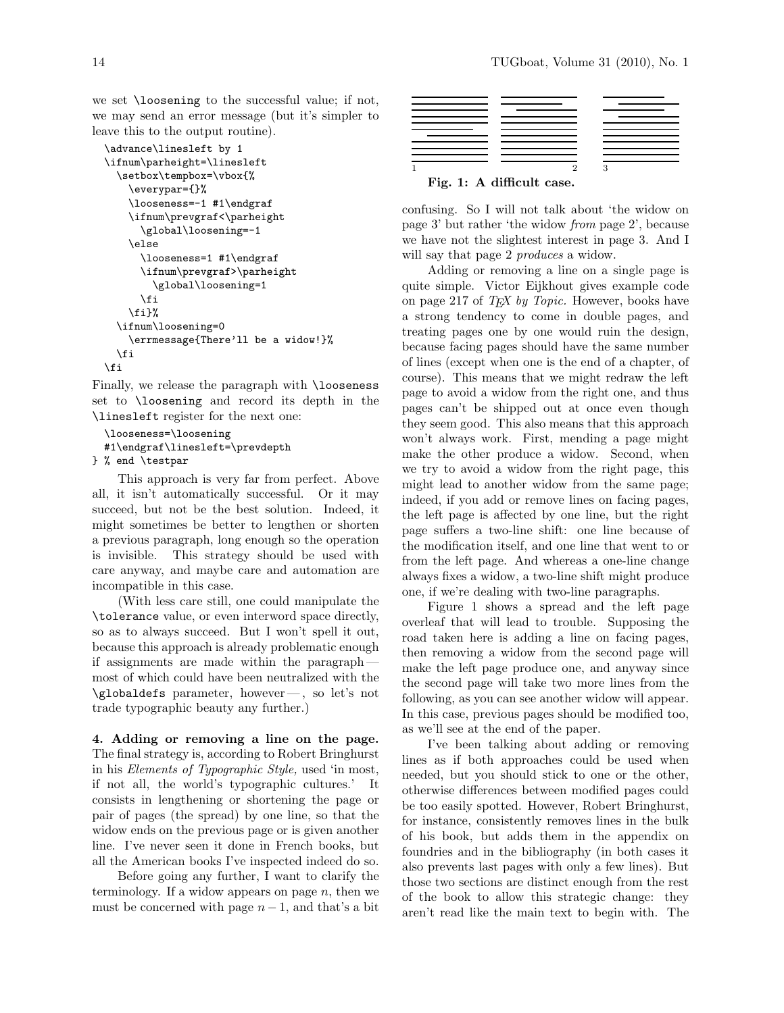we set \loosening to the successful value; if not, we may send an error message (but it's simpler to leave this to the output routine).

```
\advance\linesleft by 1
\ifnum\parheight=\linesleft
 \setbox\tempbox=\vbox{%
   \everypar={}%
   \looseness=-1 #1\endgraf
    \ifnum\prevgraf<\parheight
      \global\loosening=-1
   \else
      \looseness=1 #1\endgraf
      \ifnum\prevgraf>\parheight
        \global\loosening=1
      \fi
   \fi}%
 \ifnum\loosening=0
   \errmessage{There'll be a widow!}%
 \fi
\fi
```
Finally, we release the paragraph with \looseness set to \loosening and record its depth in the \linesleft register for the next one:

```
\looseness=\loosening
  #1\endgraf\linesleft=\prevdepth
} % end \testpar
```
This approach is very far from perfect. Above all, it isn't automatically successful. Or it may succeed, but not be the best solution. Indeed, it might sometimes be better to lengthen or shorten a previous paragraph, long enough so the operation is invisible. This strategy should be used with care anyway, and maybe care and automation are incompatible in this case.

(With less care still, one could manipulate the \tolerance value, or even interword space directly, so as to always succeed. But I won't spell it out, because this approach is already problematic enough if assignments are made within the paragraph most of which could have been neutralized with the \globaldefs parameter, however— , so let's not trade typographic beauty any further.)

4. Adding or removing a line on the page. The final strategy is, according to Robert Bringhurst in his Elements of Typographic Style, used 'in most, if not all, the world's typographic cultures.' It consists in lengthening or shortening the page or pair of pages (the spread) by one line, so that the widow ends on the previous page or is given another line. I've never seen it done in French books, but all the American books I've inspected indeed do so.

Before going any further, I want to clarify the terminology. If a widow appears on page  $n$ , then we must be concerned with page  $n-1$ , and that's a bit



confusing. So I will not talk about 'the widow on page 3' but rather 'the widow from page 2', because we have not the slightest interest in page 3. And I will say that page 2 *produces* a widow.

Adding or removing a line on a single page is quite simple. Victor Eijkhout gives example code on page 217 of  $TEX$  by Topic. However, books have a strong tendency to come in double pages, and treating pages one by one would ruin the design, because facing pages should have the same number of lines (except when one is the end of a chapter, of course). This means that we might redraw the left page to avoid a widow from the right one, and thus pages can't be shipped out at once even though they seem good. This also means that this approach won't always work. First, mending a page might make the other produce a widow. Second, when we try to avoid a widow from the right page, this might lead to another widow from the same page; indeed, if you add or remove lines on facing pages, the left page is affected by one line, but the right page suffers a two-line shift: one line because of the modification itself, and one line that went to or from the left page. And whereas a one-line change always fixes a widow, a two-line shift might produce one, if we're dealing with two-line paragraphs.

Figure 1 shows a spread and the left page overleaf that will lead to trouble. Supposing the road taken here is adding a line on facing pages, then removing a widow from the second page will make the left page produce one, and anyway since the second page will take two more lines from the following, as you can see another widow will appear. In this case, previous pages should be modified too, as we'll see at the end of the paper.

I've been talking about adding or removing lines as if both approaches could be used when needed, but you should stick to one or the other, otherwise differences between modified pages could be too easily spotted. However, Robert Bringhurst, for instance, consistently removes lines in the bulk of his book, but adds them in the appendix on foundries and in the bibliography (in both cases it also prevents last pages with only a few lines). But those two sections are distinct enough from the rest of the book to allow this strategic change: they aren't read like the main text to begin with. The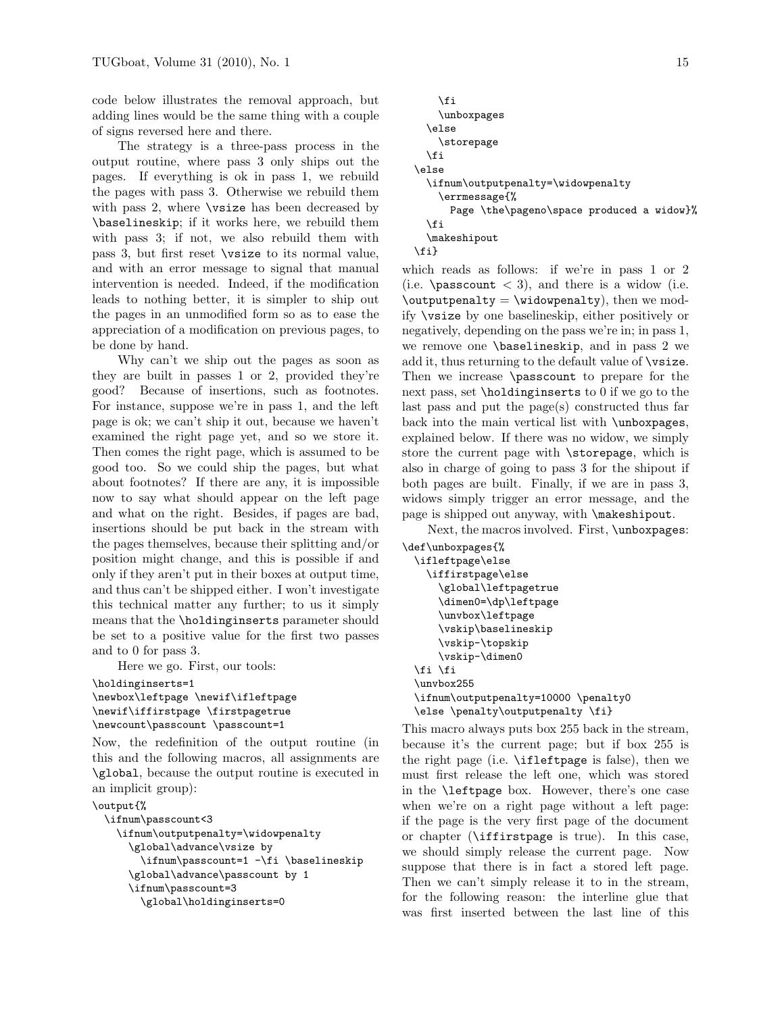code below illustrates the removal approach, but adding lines would be the same thing with a couple of signs reversed here and there.

The strategy is a three-pass process in the output routine, where pass 3 only ships out the pages. If everything is ok in pass 1, we rebuild the pages with pass 3. Otherwise we rebuild them with pass 2, where **\vsize** has been decreased by \baselineskip; if it works here, we rebuild them with pass 3; if not, we also rebuild them with pass 3, but first reset \vsize to its normal value, and with an error message to signal that manual intervention is needed. Indeed, if the modification leads to nothing better, it is simpler to ship out the pages in an unmodified form so as to ease the appreciation of a modification on previous pages, to be done by hand.

Why can't we ship out the pages as soon as they are built in passes 1 or 2, provided they're good? Because of insertions, such as footnotes. For instance, suppose we're in pass 1, and the left page is ok; we can't ship it out, because we haven't examined the right page yet, and so we store it. Then comes the right page, which is assumed to be good too. So we could ship the pages, but what about footnotes? If there are any, it is impossible now to say what should appear on the left page and what on the right. Besides, if pages are bad, insertions should be put back in the stream with the pages themselves, because their splitting and/or position might change, and this is possible if and only if they aren't put in their boxes at output time, and thus can't be shipped either. I won't investigate this technical matter any further; to us it simply means that the \holdinginserts parameter should be set to a positive value for the first two passes and to 0 for pass 3.

Here we go. First, our tools:

```
\holdinginserts=1
\newbox\leftpage \newif\ifleftpage
\newif\iffirstpage \firstpagetrue
\newcount\passcount \passcount=1
```
Now, the redefinition of the output routine (in this and the following macros, all assignments are \global, because the output routine is executed in an implicit group):

```
\output{%
```

```
\ifnum\passcount<3
 \ifnum\outputpenalty=\widowpenalty
    \global\advance\vsize by
      \ifnum\passcount=1 -\fi \baselineskip
    \global\advance\passcount by 1
    \ifnum\passcount=3
      \global\holdinginserts=0
```

```
\fi
    \unboxpages
  \else
    \storepage
  \fi
\else
  \ifnum\outputpenalty=\widowpenalty
    \errmessage{%
      Page \the\pageno\space produced a widow}%
  \fi
  \makeshipout
\fi}
```
which reads as follows: if we're in pass 1 or 2 (i.e.  $\text{passcount} < 3$ ), and there is a widow (i.e.  $\outputpenalty = \widehat{\text{by}}$ , then we modify \vsize by one baselineskip, either positively or negatively, depending on the pass we're in; in pass 1, we remove one \baselineskip, and in pass 2 we add it, thus returning to the default value of \vsize. Then we increase \passcount to prepare for the next pass, set \holdinginserts to 0 if we go to the last pass and put the page(s) constructed thus far back into the main vertical list with \unboxpages, explained below. If there was no widow, we simply store the current page with \storepage, which is also in charge of going to pass 3 for the shipout if both pages are built. Finally, if we are in pass 3, widows simply trigger an error message, and the page is shipped out anyway, with \makeshipout.

Next, the macros involved. First, \unboxpages: \def\unboxpages{%

```
\ifleftpage\else
  \iffirstpage\else
    \global\leftpagetrue
    \dimen0=\dp\leftpage
    \unvbox\leftpage
    \vskip\baselineskip
    \vskip-\topskip
    \vskip-\dimen0
\fi \fi
\unvbox255
\ifnum\outputpenalty=10000 \penalty0
\else \penalty\outputpenalty \fi}
```
This macro always puts box 255 back in the stream, because it's the current page; but if box 255 is the right page (i.e. \ifleftpage is false), then we must first release the left one, which was stored in the \leftpage box. However, there's one case when we're on a right page without a left page: if the page is the very first page of the document or chapter (\iffirstpage is true). In this case, we should simply release the current page. Now suppose that there is in fact a stored left page. Then we can't simply release it to in the stream, for the following reason: the interline glue that was first inserted between the last line of this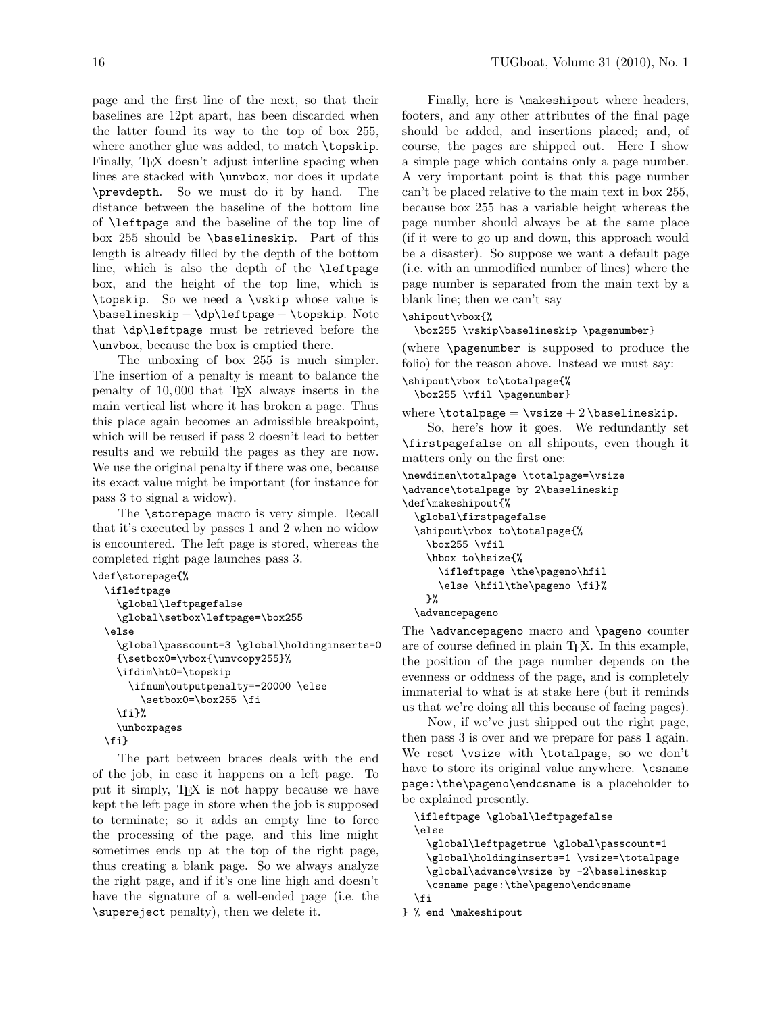page and the first line of the next, so that their baselines are 12pt apart, has been discarded when the latter found its way to the top of box 255, where another glue was added, to match \topskip. Finally, T<sub>EX</sub> doesn't adjust interline spacing when lines are stacked with \unvbox, nor does it update \prevdepth. So we must do it by hand. The distance between the baseline of the bottom line of \leftpage and the baseline of the top line of box 255 should be \baselineskip. Part of this length is already filled by the depth of the bottom line, which is also the depth of the \leftpage box, and the height of the top line, which is \topskip. So we need a \vskip whose value is \baselineskip − \dp\leftpage − \topskip. Note that \dp\leftpage must be retrieved before the

\unvbox, because the box is emptied there. The unboxing of box 255 is much simpler. The insertion of a penalty is meant to balance the penalty of 10, 000 that TEX always inserts in the main vertical list where it has broken a page. Thus this place again becomes an admissible breakpoint, which will be reused if pass 2 doesn't lead to better results and we rebuild the pages as they are now. We use the original penalty if there was one, because its exact value might be important (for instance for pass 3 to signal a widow).

The \storepage macro is very simple. Recall that it's executed by passes 1 and 2 when no widow is encountered. The left page is stored, whereas the completed right page launches pass 3.

```
\def\storepage{%
  \ifleftpage
    \global\leftpagefalse
    \global\setbox\leftpage=\box255
  \else
    \global\passcount=3 \global\holdinginserts=0
    {\setbox0=\vbox{\unvcopy255}%
    \ifdim\ht0=\topskip
      \ifnum\outputpenalty=-20000 \else
        \setbox0=\box255 \fi
    \fi}%
    \unboxpages
  \fi}
```
The part between braces deals with the end of the job, in case it happens on a left page. To put it simply, TEX is not happy because we have kept the left page in store when the job is supposed to terminate; so it adds an empty line to force the processing of the page, and this line might sometimes ends up at the top of the right page, thus creating a blank page. So we always analyze the right page, and if it's one line high and doesn't have the signature of a well-ended page (i.e. the \supereject penalty), then we delete it.

Finally, here is  $\mathcal{S}$ , makeshipout where headers, footers, and any other attributes of the final page should be added, and insertions placed; and, of course, the pages are shipped out. Here I show a simple page which contains only a page number. A very important point is that this page number can't be placed relative to the main text in box 255, because box 255 has a variable height whereas the page number should always be at the same place (if it were to go up and down, this approach would be a disaster). So suppose we want a default page (i.e. with an unmodified number of lines) where the page number is separated from the main text by a blank line; then we can't say

# \shipout\vbox{%

\box255 \vskip\baselineskip \pagenumber}

(where \pagenumber is supposed to produce the folio) for the reason above. Instead we must say:

```
\shipout\vbox to\totalpage{%
 \box255 \vfil \pagenumber}
```

```
where \boldsymbol{\lambda} vsize + 2 \boldsymbol{\lambda} as \boldsymbol{\lambda}.
```
So, here's how it goes. We redundantly set \firstpagefalse on all shipouts, even though it matters only on the first one:

```
\newdimen\totalpage \totalpage=\vsize
\advance\totalpage by 2\baselineskip
\def\makeshipout{%
  \global\firstpagefalse
 \shipout\vbox to\totalpage{%
    \box255 \vfil
   \hbox to\hsize{%
      \ifleftpage \the\pageno\hfil
      \else \hfil\the\pageno \fi}%
   }%
 \advancepageno
```
The **\advancepageno** macro and **\pageno** counter are of course defined in plain TEX. In this example, the position of the page number depends on the evenness or oddness of the page, and is completely immaterial to what is at stake here (but it reminds us that we're doing all this because of facing pages).

Now, if we've just shipped out the right page, then pass 3 is over and we prepare for pass 1 again. We reset \vsize with \totalpage, so we don't have to store its original value anywhere. \csname page:\the\pageno\endcsname is a placeholder to be explained presently.

\ifleftpage \global\leftpagefalse \else

```
\global\leftpagetrue \global\passcount=1
  \global\holdinginserts=1 \vsize=\totalpage
  \global\advance\vsize by -2\baselineskip
  \csname page:\the\pageno\endcsname
\fi
```

```
} % end \makeshipout
```